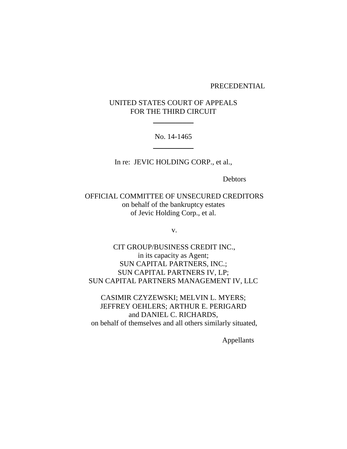#### PRECEDENTIAL

# UNITED STATES COURT OF APPEALS FOR THE THIRD CIRCUIT

 $\overline{\phantom{a}}$  , where  $\overline{\phantom{a}}$ 

No. 14-1465  $\overline{\phantom{a}}$  , where  $\overline{\phantom{a}}$ 

In re: JEVIC HOLDING CORP., et al.,

Debtors

OFFICIAL COMMITTEE OF UNSECURED CREDITORS on behalf of the bankruptcy estates of Jevic Holding Corp., et al.

v.

CIT GROUP/BUSINESS CREDIT INC., in its capacity as Agent; SUN CAPITAL PARTNERS, INC.; SUN CAPITAL PARTNERS IV, LP; SUN CAPITAL PARTNERS MANAGEMENT IV, LLC

CASIMIR CZYZEWSKI; MELVIN L. MYERS; JEFFREY OEHLERS; ARTHUR E. PERIGARD and DANIEL C. RICHARDS, on behalf of themselves and all others similarly situated,

Appellants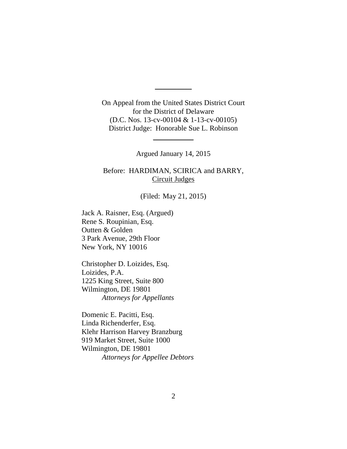On Appeal from the United States District Court for the District of Delaware (D.C. Nos. 13-cv-00104 & 1-13-cv-00105) District Judge: Honorable Sue L. Robinson

 $\overline{\phantom{a}}$ 

Argued January 14, 2015

 $\overline{\phantom{a}}$ 

Before: HARDIMAN, SCIRICA and BARRY, Circuit Judges

(Filed: May 21, 2015)

Jack A. Raisner, Esq. (Argued) Rene S. Roupinian, Esq. Outten & Golden 3 Park Avenue, 29th Floor New York, NY 10016

Christopher D. Loizides, Esq. Loizides, P.A. 1225 King Street, Suite 800 Wilmington, DE 19801 *Attorneys for Appellants*

Domenic E. Pacitti, Esq. Linda Richenderfer, Esq. Klehr Harrison Harvey Branzburg 919 Market Street, Suite 1000 Wilmington, DE 19801 *Attorneys for Appellee Debtors*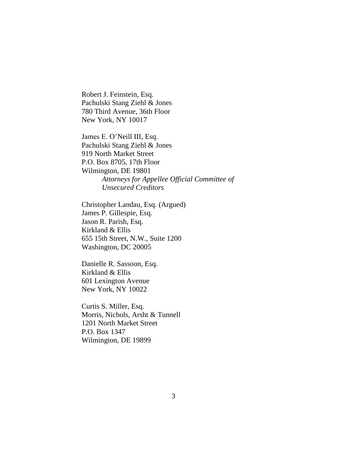Robert J. Feinstein, Esq. Pachulski Stang Ziehl & Jones 780 Third Avenue, 36th Floor New York, NY 10017

James E. O'Neill III, Esq. Pachulski Stang Ziehl & Jones 919 North Market Street P.O. Box 8705, 17th Floor Wilmington, DE 19801 *Attorneys for Appellee Official Committee of Unsecured Creditors*

Christopher Landau, Esq. (Argued) James P. Gillespie, Esq. Jason R. Parish, Esq. Kirkland & Ellis 655 15th Street, N.W., Suite 1200 Washington, DC 20005

Danielle R. Sassoon, Esq. Kirkland & Ellis 601 Lexington Avenue New York, NY 10022

Curtis S. Miller, Esq. Morris, Nichols, Arsht & Tunnell 1201 North Market Street P.O. Box 1347 Wilmington, DE 19899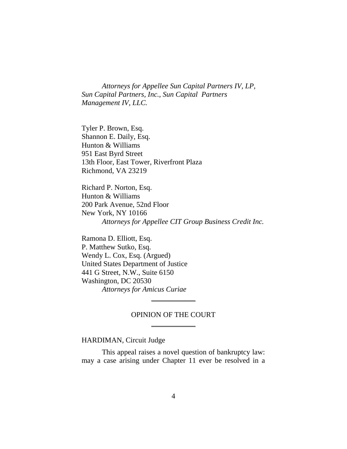*Attorneys for Appellee Sun Capital Partners IV, LP, Sun Capital Partners, Inc., Sun Capital Partners Management IV, LLC.*

Tyler P. Brown, Esq. Shannon E. Daily, Esq. Hunton & Williams 951 East Byrd Street 13th Floor, East Tower, Riverfront Plaza Richmond, VA 23219

Richard P. Norton, Esq. Hunton & Williams 200 Park Avenue, 52nd Floor New York, NY 10166 *Attorneys for Appellee CIT Group Business Credit Inc.*

Ramona D. Elliott, Esq. P. Matthew Sutko, Esq. Wendy L. Cox, Esq. (Argued) United States Department of Justice 441 G Street, N.W., Suite 6150 Washington, DC 20530 *Attorneys for Amicus Curiae*

## OPINION OF THE COURT  $\frac{1}{2}$

\_\_\_\_\_\_\_\_\_\_\_\_

### HARDIMAN, Circuit Judge

This appeal raises a novel question of bankruptcy law: may a case arising under Chapter 11 ever be resolved in a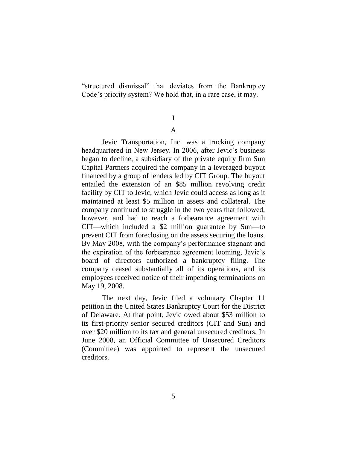"structured dismissal" that deviates from the Bankruptcy Code's priority system? We hold that, in a rare case, it may.

# I A

Jevic Transportation, Inc. was a trucking company headquartered in New Jersey. In 2006, after Jevic's business began to decline, a subsidiary of the private equity firm Sun Capital Partners acquired the company in a leveraged buyout financed by a group of lenders led by CIT Group. The buyout entailed the extension of an \$85 million revolving credit facility by CIT to Jevic, which Jevic could access as long as it maintained at least \$5 million in assets and collateral. The company continued to struggle in the two years that followed, however, and had to reach a forbearance agreement with CIT—which included a \$2 million guarantee by Sun—to prevent CIT from foreclosing on the assets securing the loans. By May 2008, with the company's performance stagnant and the expiration of the forbearance agreement looming, Jevic's board of directors authorized a bankruptcy filing. The company ceased substantially all of its operations, and its employees received notice of their impending terminations on May 19, 2008.

The next day, Jevic filed a voluntary Chapter 11 petition in the United States Bankruptcy Court for the District of Delaware. At that point, Jevic owed about \$53 million to its first-priority senior secured creditors (CIT and Sun) and over \$20 million to its tax and general unsecured creditors. In June 2008, an Official Committee of Unsecured Creditors (Committee) was appointed to represent the unsecured creditors.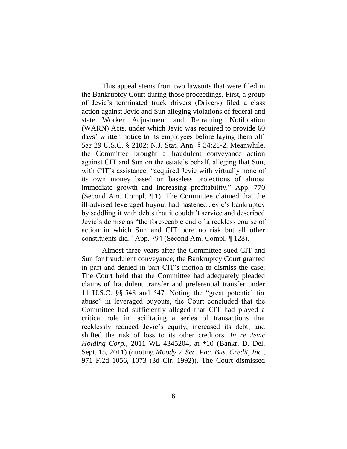This appeal stems from two lawsuits that were filed in the Bankruptcy Court during those proceedings. First, a group of Jevic's terminated truck drivers (Drivers) filed a class action against Jevic and Sun alleging violations of federal and state Worker Adjustment and Retraining Notification (WARN) Acts, under which Jevic was required to provide 60 days' written notice to its employees before laying them off. *See* 29 U.S.C. § 2102; N.J. Stat. Ann. § 34:21-2. Meanwhile, the Committee brought a fraudulent conveyance action against CIT and Sun on the estate's behalf, alleging that Sun, with CIT's assistance, "acquired Jevic with virtually none of its own money based on baseless projections of almost immediate growth and increasing profitability." App. 770 (Second Am. Compl. ¶ 1). The Committee claimed that the ill-advised leveraged buyout had hastened Jevic's bankruptcy by saddling it with debts that it couldn't service and described Jevic's demise as "the foreseeable end of a reckless course of action in which Sun and CIT bore no risk but all other constituents did." App. 794 (Second Am. Compl. ¶ 128).

Almost three years after the Committee sued CIT and Sun for fraudulent conveyance, the Bankruptcy Court granted in part and denied in part CIT's motion to dismiss the case. The Court held that the Committee had adequately pleaded claims of fraudulent transfer and preferential transfer under 11 U.S.C. §§ 548 and 547. Noting the "great potential for abuse" in leveraged buyouts, the Court concluded that the Committee had sufficiently alleged that CIT had played a critical role in facilitating a series of transactions that recklessly reduced Jevic's equity, increased its debt, and shifted the risk of loss to its other creditors. *In re Jevic Holding Corp.*, 2011 WL 4345204, at \*10 (Bankr. D. Del. Sept. 15, 2011) (quoting *Moody v. Sec. Pac. Bus. Credit, Inc.*, 971 F.2d 1056, 1073 (3d Cir. 1992)). The Court dismissed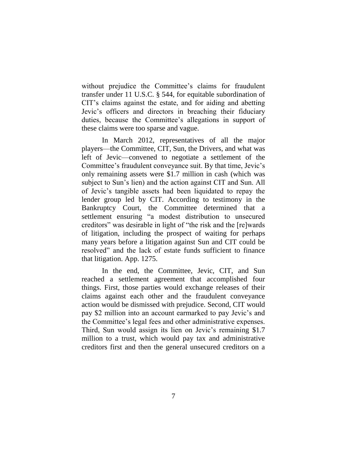without prejudice the Committee's claims for fraudulent transfer under 11 U.S.C. § 544, for equitable subordination of CIT's claims against the estate, and for aiding and abetting Jevic's officers and directors in breaching their fiduciary duties, because the Committee's allegations in support of these claims were too sparse and vague.

In March 2012, representatives of all the major players—the Committee, CIT, Sun, the Drivers, and what was left of Jevic—convened to negotiate a settlement of the Committee's fraudulent conveyance suit. By that time, Jevic's only remaining assets were \$1.7 million in cash (which was subject to Sun's lien) and the action against CIT and Sun. All of Jevic's tangible assets had been liquidated to repay the lender group led by CIT. According to testimony in the Bankruptcy Court, the Committee determined that a settlement ensuring "a modest distribution to unsecured creditors" was desirable in light of "the risk and the [re]wards of litigation, including the prospect of waiting for perhaps many years before a litigation against Sun and CIT could be resolved" and the lack of estate funds sufficient to finance that litigation. App. 1275.

In the end, the Committee, Jevic, CIT, and Sun reached a settlement agreement that accomplished four things. First, those parties would exchange releases of their claims against each other and the fraudulent conveyance action would be dismissed with prejudice. Second, CIT would pay \$2 million into an account earmarked to pay Jevic's and the Committee's legal fees and other administrative expenses. Third, Sun would assign its lien on Jevic's remaining \$1.7 million to a trust, which would pay tax and administrative creditors first and then the general unsecured creditors on a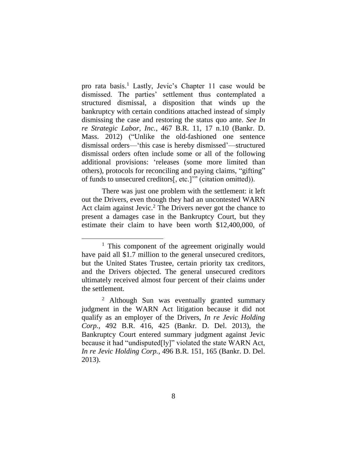pro rata basis.<sup>1</sup> Lastly, Jevic's Chapter 11 case would be dismissed. The parties' settlement thus contemplated a structured dismissal, a disposition that winds up the bankruptcy with certain conditions attached instead of simply dismissing the case and restoring the status quo ante. *See In re Strategic Labor, Inc.*, 467 B.R. 11, 17 n.10 (Bankr. D. Mass. 2012) ("Unlike the old-fashioned one sentence dismissal orders—'this case is hereby dismissed'—structured dismissal orders often include some or all of the following additional provisions: 'releases (some more limited than others), protocols for reconciling and paying claims, "gifting" of funds to unsecured creditors[, etc.]'" (citation omitted)).

There was just one problem with the settlement: it left out the Drivers, even though they had an uncontested WARN Act claim against Jevic.<sup>2</sup> The Drivers never got the chance to present a damages case in the Bankruptcy Court, but they estimate their claim to have been worth \$12,400,000, of

<sup>&</sup>lt;sup>1</sup> This component of the agreement originally would have paid all \$1.7 million to the general unsecured creditors, but the United States Trustee, certain priority tax creditors, and the Drivers objected. The general unsecured creditors ultimately received almost four percent of their claims under the settlement.

<sup>&</sup>lt;sup>2</sup> Although Sun was eventually granted summary judgment in the WARN Act litigation because it did not qualify as an employer of the Drivers, *In re Jevic Holding Corp.*, 492 B.R. 416, 425 (Bankr. D. Del. 2013), the Bankruptcy Court entered summary judgment against Jevic because it had "undisputed[ly]" violated the state WARN Act, *In re Jevic Holding Corp.*, 496 B.R. 151, 165 (Bankr. D. Del. 2013).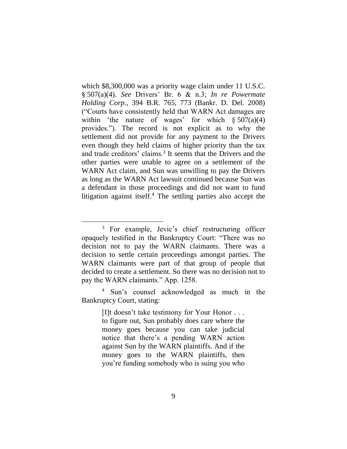which \$8,300,000 was a priority wage claim under 11 U.S.C. § 507(a)(4). *See* Drivers' Br. 6 & n.3; *In re Powermate Holding Corp.*, 394 B.R. 765, 773 (Bankr. D. Del. 2008) ("Courts have consistently held that WARN Act damages are within 'the nature of wages' for which  $\S 507(a)(4)$ provides."). The record is not explicit as to why the settlement did not provide for any payment to the Drivers even though they held claims of higher priority than the tax and trade creditors' claims.<sup>3</sup> It seems that the Drivers and the other parties were unable to agree on a settlement of the WARN Act claim, and Sun was unwilling to pay the Drivers as long as the WARN Act lawsuit continued because Sun was a defendant in those proceedings and did not want to fund litigation against itself.<sup>4</sup> The settling parties also accept the

 $\overline{a}$ 

<sup>4</sup> Sun's counsel acknowledged as much in the Bankruptcy Court, stating:

> [I]t doesn't take testimony for Your Honor . . . to figure out, Sun probably does care where the money goes because you can take judicial notice that there's a pending WARN action against Sun by the WARN plaintiffs. And if the money goes to the WARN plaintiffs, then you're funding somebody who is suing you who

<sup>3</sup> For example, Jevic's chief restructuring officer opaquely testified in the Bankruptcy Court: "There was no decision not to pay the WARN claimants. There was a decision to settle certain proceedings amongst parties. The WARN claimants were part of that group of people that decided to create a settlement. So there was no decision not to pay the WARN claimants." App. 1258.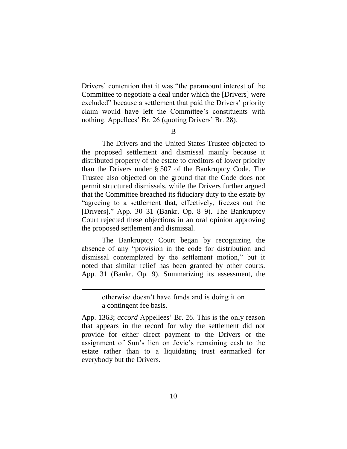Drivers' contention that it was "the paramount interest of the Committee to negotiate a deal under which the [Drivers] were excluded" because a settlement that paid the Drivers' priority claim would have left the Committee's constituents with nothing. Appellees' Br. 26 (quoting Drivers' Br. 28).

B

The Drivers and the United States Trustee objected to the proposed settlement and dismissal mainly because it distributed property of the estate to creditors of lower priority than the Drivers under § 507 of the Bankruptcy Code. The Trustee also objected on the ground that the Code does not permit structured dismissals, while the Drivers further argued that the Committee breached its fiduciary duty to the estate by "agreeing to a settlement that, effectively, freezes out the [Drivers]." App. 30–31 (Bankr. Op. 8–9). The Bankruptcy Court rejected these objections in an oral opinion approving the proposed settlement and dismissal.

The Bankruptcy Court began by recognizing the absence of any "provision in the code for distribution and dismissal contemplated by the settlement motion," but it noted that similar relief has been granted by other courts. App. 31 (Bankr. Op. 9). Summarizing its assessment, the

otherwise doesn't have funds and is doing it on a contingent fee basis.

App. 1363; *accord* Appellees' Br. 26. This is the only reason that appears in the record for why the settlement did not provide for either direct payment to the Drivers or the assignment of Sun's lien on Jevic's remaining cash to the estate rather than to a liquidating trust earmarked for everybody but the Drivers.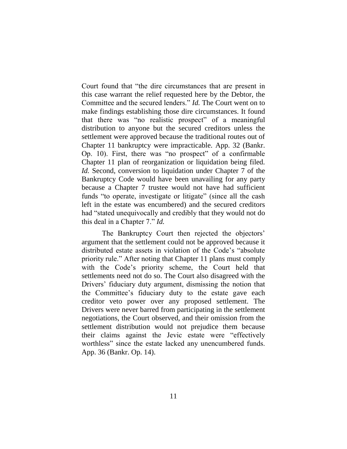Court found that "the dire circumstances that are present in this case warrant the relief requested here by the Debtor, the Committee and the secured lenders." *Id.* The Court went on to make findings establishing those dire circumstances. It found that there was "no realistic prospect" of a meaningful distribution to anyone but the secured creditors unless the settlement were approved because the traditional routes out of Chapter 11 bankruptcy were impracticable. App. 32 (Bankr. Op. 10). First, there was "no prospect" of a confirmable Chapter 11 plan of reorganization or liquidation being filed. *Id.* Second, conversion to liquidation under Chapter 7 of the Bankruptcy Code would have been unavailing for any party because a Chapter 7 trustee would not have had sufficient funds "to operate, investigate or litigate" (since all the cash left in the estate was encumbered) and the secured creditors had "stated unequivocally and credibly that they would not do this deal in a Chapter 7." *Id.*

The Bankruptcy Court then rejected the objectors' argument that the settlement could not be approved because it distributed estate assets in violation of the Code's "absolute priority rule." After noting that Chapter 11 plans must comply with the Code's priority scheme, the Court held that settlements need not do so. The Court also disagreed with the Drivers' fiduciary duty argument, dismissing the notion that the Committee's fiduciary duty to the estate gave each creditor veto power over any proposed settlement. The Drivers were never barred from participating in the settlement negotiations, the Court observed, and their omission from the settlement distribution would not prejudice them because their claims against the Jevic estate were "effectively worthless" since the estate lacked any unencumbered funds. App. 36 (Bankr. Op. 14).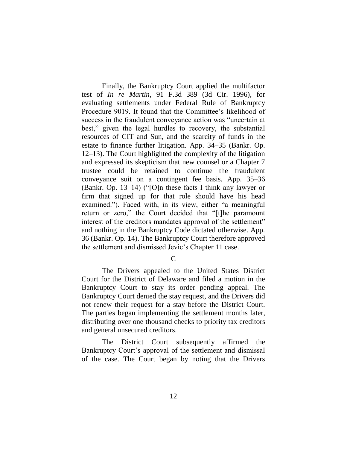Finally, the Bankruptcy Court applied the multifactor test of *In re Martin*, 91 F.3d 389 (3d Cir. 1996), for evaluating settlements under Federal Rule of Bankruptcy Procedure 9019. It found that the Committee's likelihood of success in the fraudulent conveyance action was "uncertain at best," given the legal hurdles to recovery, the substantial resources of CIT and Sun, and the scarcity of funds in the estate to finance further litigation. App. 34–35 (Bankr. Op. 12–13). The Court highlighted the complexity of the litigation and expressed its skepticism that new counsel or a Chapter 7 trustee could be retained to continue the fraudulent conveyance suit on a contingent fee basis. App. 35–36 (Bankr. Op. 13–14) ("[O]n these facts I think any lawyer or firm that signed up for that role should have his head examined."). Faced with, in its view, either "a meaningful return or zero," the Court decided that "[t]he paramount interest of the creditors mandates approval of the settlement" and nothing in the Bankruptcy Code dictated otherwise. App. 36 (Bankr. Op. 14). The Bankruptcy Court therefore approved the settlement and dismissed Jevic's Chapter 11 case.

 $\mathcal{C}$ 

The Drivers appealed to the United States District Court for the District of Delaware and filed a motion in the Bankruptcy Court to stay its order pending appeal. The Bankruptcy Court denied the stay request, and the Drivers did not renew their request for a stay before the District Court. The parties began implementing the settlement months later, distributing over one thousand checks to priority tax creditors and general unsecured creditors.

The District Court subsequently affirmed the Bankruptcy Court's approval of the settlement and dismissal of the case. The Court began by noting that the Drivers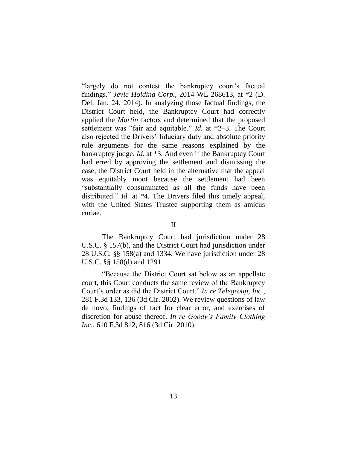"largely do not contest the bankruptcy court's factual findings." *Jevic Holding Corp.*, 2014 WL 268613, at \*2 (D. Del. Jan. 24, 2014). In analyzing those factual findings, the District Court held, the Bankruptcy Court had correctly applied the *Martin* factors and determined that the proposed settlement was "fair and equitable." *Id.* at \*2–3. The Court also rejected the Drivers' fiduciary duty and absolute priority rule arguments for the same reasons explained by the bankruptcy judge. *Id.* at \*3. And even if the Bankruptcy Court had erred by approving the settlement and dismissing the case, the District Court held in the alternative that the appeal was equitably moot because the settlement had been "substantially consummated as all the funds have been distributed." *Id.* at \*4. The Drivers filed this timely appeal, with the United States Trustee supporting them as amicus curiae.

II

The Bankruptcy Court had jurisdiction under 28 U.S.C. § 157(b), and the District Court had jurisdiction under 28 U.S.C. §§ 158(a) and 1334. We have jurisdiction under 28 U.S.C. §§ 158(d) and 1291.

"Because the District Court sat below as an appellate court, this Court conducts the same review of the Bankruptcy Court's order as did the District Court." *In re Telegroup, Inc.*, 281 F.3d 133, 136 (3d Cir. 2002). We review questions of law de novo, findings of fact for clear error, and exercises of discretion for abuse thereof. *In re Goody's Family Clothing Inc.*, 610 F.3d 812, 816 (3d Cir. 2010).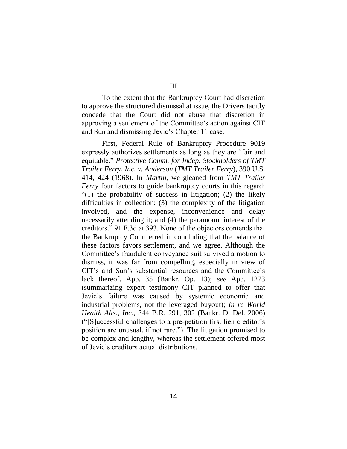III

To the extent that the Bankruptcy Court had discretion to approve the structured dismissal at issue, the Drivers tacitly concede that the Court did not abuse that discretion in approving a settlement of the Committee's action against CIT and Sun and dismissing Jevic's Chapter 11 case.

First, Federal Rule of Bankruptcy Procedure 9019 expressly authorizes settlements as long as they are "fair and equitable." *Protective Comm. for Indep. Stockholders of TMT Trailer Ferry, Inc. v. Anderson* (*TMT Trailer Ferry*), 390 U.S. 414, 424 (1968). In *Martin*, we gleaned from *TMT Trailer Ferry* four factors to guide bankruptcy courts in this regard: "(1) the probability of success in litigation; (2) the likely difficulties in collection; (3) the complexity of the litigation involved, and the expense, inconvenience and delay necessarily attending it; and (4) the paramount interest of the creditors." 91 F.3d at 393. None of the objectors contends that the Bankruptcy Court erred in concluding that the balance of these factors favors settlement, and we agree. Although the Committee's fraudulent conveyance suit survived a motion to dismiss, it was far from compelling, especially in view of CIT's and Sun's substantial resources and the Committee's lack thereof. App. 35 (Bankr. Op. 13); *see* App. 1273 (summarizing expert testimony CIT planned to offer that Jevic's failure was caused by systemic economic and industrial problems, not the leveraged buyout); *In re World Health Alts., Inc.*, 344 B.R. 291, 302 (Bankr. D. Del. 2006) ("[S]uccessful challenges to a pre-petition first lien creditor's position are unusual, if not rare."). The litigation promised to be complex and lengthy, whereas the settlement offered most of Jevic's creditors actual distributions.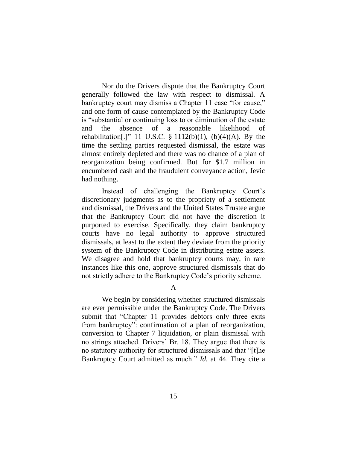Nor do the Drivers dispute that the Bankruptcy Court generally followed the law with respect to dismissal. A bankruptcy court may dismiss a Chapter 11 case "for cause," and one form of cause contemplated by the Bankruptcy Code is "substantial or continuing loss to or diminution of the estate and the absence of a reasonable likelihood of rehabilitation[.]" 11 U.S.C.  $\S$  1112(b)(1), (b)(4)(A). By the time the settling parties requested dismissal, the estate was almost entirely depleted and there was no chance of a plan of reorganization being confirmed. But for \$1.7 million in encumbered cash and the fraudulent conveyance action, Jevic had nothing.

Instead of challenging the Bankruptcy Court's discretionary judgments as to the propriety of a settlement and dismissal, the Drivers and the United States Trustee argue that the Bankruptcy Court did not have the discretion it purported to exercise. Specifically, they claim bankruptcy courts have no legal authority to approve structured dismissals, at least to the extent they deviate from the priority system of the Bankruptcy Code in distributing estate assets. We disagree and hold that bankruptcy courts may, in rare instances like this one, approve structured dismissals that do not strictly adhere to the Bankruptcy Code's priority scheme.

A

We begin by considering whether structured dismissals are ever permissible under the Bankruptcy Code. The Drivers submit that "Chapter 11 provides debtors only three exits from bankruptcy": confirmation of a plan of reorganization, conversion to Chapter 7 liquidation, or plain dismissal with no strings attached. Drivers' Br. 18. They argue that there is no statutory authority for structured dismissals and that "[t]he Bankruptcy Court admitted as much." *Id.* at 44. They cite a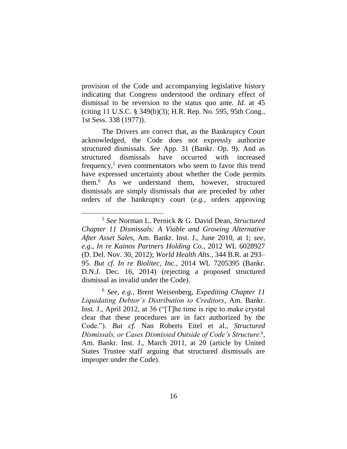provision of the Code and accompanying legislative history indicating that Congress understood the ordinary effect of dismissal to be reversion to the status quo ante. *Id.* at 45 (citing 11 U.S.C. § 349(b)(3); H.R. Rep. No. 595, 95th Cong., 1st Sess. 338 (1977)).

The Drivers are correct that, as the Bankruptcy Court acknowledged, the Code does not expressly authorize structured dismissals. *See* App. 31 (Bankr. Op. 9). And as structured dismissals have occurred with increased frequency,<sup>5</sup> even commentators who seem to favor this trend have expressed uncertainty about whether the Code permits them.<sup>6</sup> As we understand them, however, structured dismissals are simply dismissals that are preceded by other orders of the bankruptcy court (*e.g.*, orders approving

<sup>5</sup> *See* Norman L. Pernick & G. David Dean, *Structured Chapter 11 Dismissals: A Viable and Growing Alternative After Asset Sales*, Am. Bankr. Inst. J., June 2010, at 1; *see, e.g.*, *In re Kainos Partners Holding Co.*, 2012 WL 6028927 (D. Del. Nov. 30, 2012); *World Health Alts.*, 344 B.R. at 293– 95. *But cf. In re Biolitec, Inc.*, 2014 WL 7205395 (Bankr. D.N.J. Dec. 16, 2014) (rejecting a proposed structured dismissal as invalid under the Code).

<sup>6</sup> *See, e.g.*, Brent Weisenberg, *Expediting Chapter 11 Liquidating Debtor's Distribution to Creditors*, Am. Bankr. Inst. J., April 2012, at 36 ("[T]he time is ripe to make crystal clear that these procedures are in fact authorized by the Code."). *But cf.* Nan Roberts Eitel et al., *Structured Dismissals, or Cases Dismissed Outside of Code's Structure?*, Am. Bankr. Inst. J., March 2011, at 20 (article by United States Trustee staff arguing that structured dismissals are improper under the Code).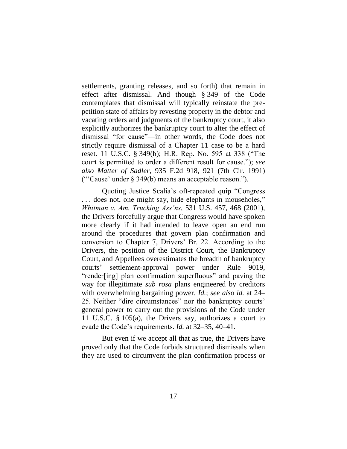settlements, granting releases, and so forth) that remain in effect after dismissal. And though § 349 of the Code contemplates that dismissal will typically reinstate the prepetition state of affairs by revesting property in the debtor and vacating orders and judgments of the bankruptcy court, it also explicitly authorizes the bankruptcy court to alter the effect of dismissal "for cause"—in other words, the Code does not strictly require dismissal of a Chapter 11 case to be a hard reset. 11 U.S.C. § 349(b); H.R. Rep. No. 595 at 338 ("The court is permitted to order a different result for cause."); *see also Matter of Sadler*, 935 F.2d 918, 921 (7th Cir. 1991) ("'Cause' under § 349(b) means an acceptable reason.").

Quoting Justice Scalia's oft-repeated quip "Congress . . . does not, one might say, hide elephants in mouseholes," *Whitman v. Am. Trucking Ass'ns*, 531 U.S. 457, 468 (2001), the Drivers forcefully argue that Congress would have spoken more clearly if it had intended to leave open an end run around the procedures that govern plan confirmation and conversion to Chapter 7, Drivers' Br. 22. According to the Drivers, the position of the District Court, the Bankruptcy Court, and Appellees overestimates the breadth of bankruptcy courts' settlement-approval power under Rule 9019, "render[ing] plan confirmation superfluous" and paving the way for illegitimate *sub rosa* plans engineered by creditors with overwhelming bargaining power. *Id.*; *see also id.* at 24– 25. Neither "dire circumstances" nor the bankruptcy courts' general power to carry out the provisions of the Code under 11 U.S.C. § 105(a), the Drivers say, authorizes a court to evade the Code's requirements. *Id.* at 32–35, 40–41.

But even if we accept all that as true, the Drivers have proved only that the Code forbids structured dismissals when they are used to circumvent the plan confirmation process or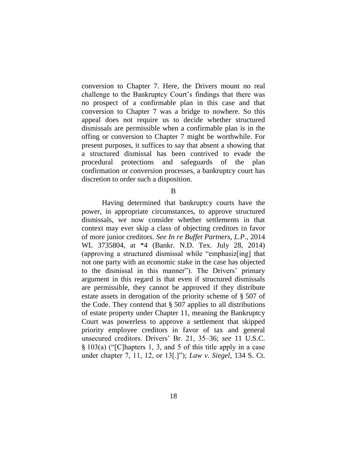conversion to Chapter 7. Here, the Drivers mount no real challenge to the Bankruptcy Court's findings that there was no prospect of a confirmable plan in this case and that conversion to Chapter 7 was a bridge to nowhere. So this appeal does not require us to decide whether structured dismissals are permissible when a confirmable plan is in the offing or conversion to Chapter 7 might be worthwhile. For present purposes, it suffices to say that absent a showing that a structured dismissal has been contrived to evade the procedural protections and safeguards of the plan confirmation or conversion processes, a bankruptcy court has discretion to order such a disposition.

B

Having determined that bankruptcy courts have the power, in appropriate circumstances, to approve structured dismissals, we now consider whether settlements in that context may ever skip a class of objecting creditors in favor of more junior creditors. *See In re Buffet Partners, L.P.*, 2014 WL 3735804, at \*4 (Bankr. N.D. Tex. July 28, 2014) (approving a structured dismissal while "emphasiz[ing] that not one party with an economic stake in the case has objected to the dismissal in this manner"). The Drivers' primary argument in this regard is that even if structured dismissals are permissible, they cannot be approved if they distribute estate assets in derogation of the priority scheme of § 507 of the Code. They contend that  $\S$  507 applies to all distributions of estate property under Chapter 11, meaning the Bankruptcy Court was powerless to approve a settlement that skipped priority employee creditors in favor of tax and general unsecured creditors. Drivers' Br. 21, 35–36; *see* 11 U.S.C. § 103(a) ("[C]hapters 1, 3, and 5 of this title apply in a case under chapter 7, 11, 12, or 13[.]"); *Law v. Siegel*, 134 S. Ct.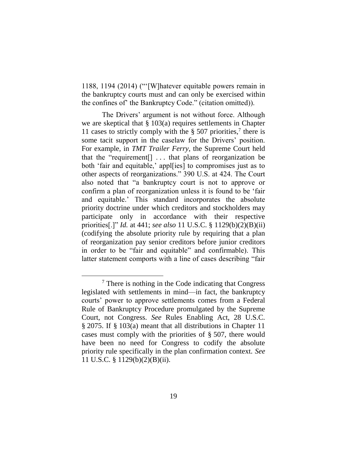1188, 1194 (2014) ("'[W]hatever equitable powers remain in the bankruptcy courts must and can only be exercised within the confines of' the Bankruptcy Code." (citation omitted)).

The Drivers' argument is not without force. Although we are skeptical that § 103(a) requires settlements in Chapter 11 cases to strictly comply with the  $\S 507$  priorities,<sup>7</sup> there is some tacit support in the caselaw for the Drivers' position. For example, in *TMT Trailer Ferry*, the Supreme Court held that the "requirement[] . . . that plans of reorganization be both 'fair and equitable,' appl[ies] to compromises just as to other aspects of reorganizations." 390 U.S. at 424. The Court also noted that "a bankruptcy court is not to approve or confirm a plan of reorganization unless it is found to be 'fair and equitable.' This standard incorporates the absolute priority doctrine under which creditors and stockholders may participate only in accordance with their respective priorities[.]" *Id.* at 441; *see also* 11 U.S.C. § 1129(b)(2)(B)(ii) (codifying the absolute priority rule by requiring that a plan of reorganization pay senior creditors before junior creditors in order to be "fair and equitable" and confirmable). This latter statement comports with a line of cases describing "fair

<sup>7</sup> There is nothing in the Code indicating that Congress legislated with settlements in mind—in fact, the bankruptcy courts' power to approve settlements comes from a Federal Rule of Bankruptcy Procedure promulgated by the Supreme Court, not Congress. *See* Rules Enabling Act, 28 U.S.C. § 2075. If § 103(a) meant that all distributions in Chapter 11 cases must comply with the priorities of § 507, there would have been no need for Congress to codify the absolute priority rule specifically in the plan confirmation context. *See* 11 U.S.C. § 1129(b)(2)(B)(ii).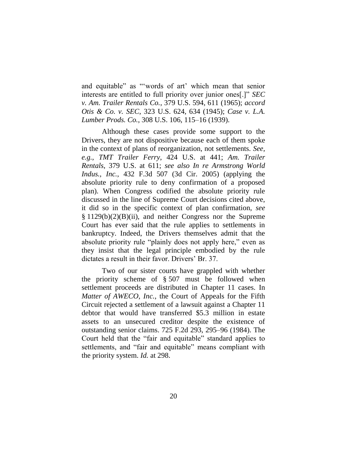and equitable" as "'words of art' which mean that senior interests are entitled to full priority over junior ones[.]" *SEC v. Am. Trailer Rentals Co.*, 379 U.S. 594, 611 (1965); *accord Otis & Co. v. SEC*, 323 U.S. 624, 634 (1945); *Case v. L.A. Lumber Prods. Co.*, 308 U.S. 106, 115–16 (1939).

Although these cases provide some support to the Drivers, they are not dispositive because each of them spoke in the context of plans of reorganization, not settlements. *See, e.g.*, *TMT Trailer Ferry*, 424 U.S. at 441; *Am. Trailer Rentals*, 379 U.S. at 611; *see also In re Armstrong World Indus., Inc.*, 432 F.3d 507 (3d Cir. 2005) (applying the absolute priority rule to deny confirmation of a proposed plan). When Congress codified the absolute priority rule discussed in the line of Supreme Court decisions cited above, it did so in the specific context of plan confirmation, *see* § 1129(b)(2)(B)(ii), and neither Congress nor the Supreme Court has ever said that the rule applies to settlements in bankruptcy. Indeed, the Drivers themselves admit that the absolute priority rule "plainly does not apply here," even as they insist that the legal principle embodied by the rule dictates a result in their favor. Drivers' Br. 37.

Two of our sister courts have grappled with whether the priority scheme of § 507 must be followed when settlement proceeds are distributed in Chapter 11 cases. In *Matter of AWECO, Inc.*, the Court of Appeals for the Fifth Circuit rejected a settlement of a lawsuit against a Chapter 11 debtor that would have transferred \$5.3 million in estate assets to an unsecured creditor despite the existence of outstanding senior claims. 725 F.2d 293, 295–96 (1984). The Court held that the "fair and equitable" standard applies to settlements, and "fair and equitable" means compliant with the priority system. *Id.* at 298.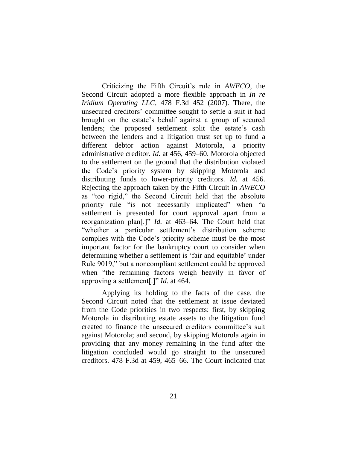Criticizing the Fifth Circuit's rule in *AWECO*, the Second Circuit adopted a more flexible approach in *In re Iridium Operating LLC*, 478 F.3d 452 (2007). There, the unsecured creditors' committee sought to settle a suit it had brought on the estate's behalf against a group of secured lenders; the proposed settlement split the estate's cash between the lenders and a litigation trust set up to fund a different debtor action against Motorola, a priority administrative creditor. *Id.* at 456, 459–60. Motorola objected to the settlement on the ground that the distribution violated the Code's priority system by skipping Motorola and distributing funds to lower-priority creditors. *Id.* at 456. Rejecting the approach taken by the Fifth Circuit in *AWECO* as "too rigid," the Second Circuit held that the absolute priority rule "is not necessarily implicated" when "a settlement is presented for court approval apart from a reorganization plan[.]" *Id.* at 463–64. The Court held that "whether a particular settlement's distribution scheme complies with the Code's priority scheme must be the most important factor for the bankruptcy court to consider when determining whether a settlement is 'fair and equitable' under Rule 9019," but a noncompliant settlement could be approved when "the remaining factors weigh heavily in favor of approving a settlement[.]" *Id.* at 464.

Applying its holding to the facts of the case, the Second Circuit noted that the settlement at issue deviated from the Code priorities in two respects: first, by skipping Motorola in distributing estate assets to the litigation fund created to finance the unsecured creditors committee's suit against Motorola; and second, by skipping Motorola again in providing that any money remaining in the fund after the litigation concluded would go straight to the unsecured creditors. 478 F.3d at 459, 465–66. The Court indicated that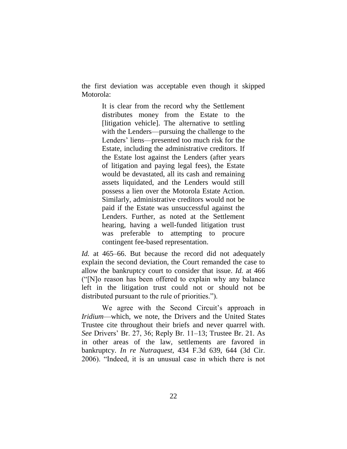the first deviation was acceptable even though it skipped Motorola:

> It is clear from the record why the Settlement distributes money from the Estate to the [litigation vehicle]. The alternative to settling with the Lenders—pursuing the challenge to the Lenders' liens—presented too much risk for the Estate, including the administrative creditors. If the Estate lost against the Lenders (after years of litigation and paying legal fees), the Estate would be devastated, all its cash and remaining assets liquidated, and the Lenders would still possess a lien over the Motorola Estate Action. Similarly, administrative creditors would not be paid if the Estate was unsuccessful against the Lenders. Further, as noted at the Settlement hearing, having a well-funded litigation trust was preferable to attempting to procure contingent fee-based representation.

*Id.* at 465–66. But because the record did not adequately explain the second deviation, the Court remanded the case to allow the bankruptcy court to consider that issue. *Id.* at 466 ("[N]o reason has been offered to explain why any balance left in the litigation trust could not or should not be distributed pursuant to the rule of priorities.").

We agree with the Second Circuit's approach in *Iridium*—which, we note, the Drivers and the United States Trustee cite throughout their briefs and never quarrel with. *See* Drivers' Br. 27, 36; Reply Br. 11–13; Trustee Br. 21. As in other areas of the law, settlements are favored in bankruptcy. *In re Nutraquest*, 434 F.3d 639, 644 (3d Cir. 2006). "Indeed, it is an unusual case in which there is not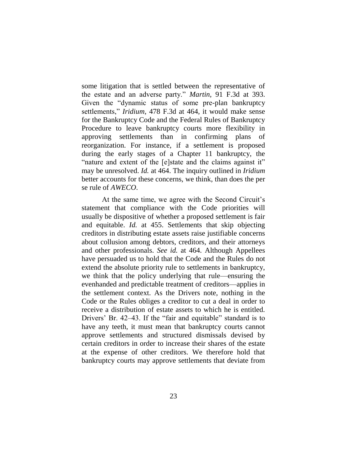some litigation that is settled between the representative of the estate and an adverse party." *Martin*, 91 F.3d at 393. Given the "dynamic status of some pre-plan bankruptcy settlements," *Iridium*, 478 F.3d at 464, it would make sense for the Bankruptcy Code and the Federal Rules of Bankruptcy Procedure to leave bankruptcy courts more flexibility in approving settlements than in confirming plans of reorganization. For instance, if a settlement is proposed during the early stages of a Chapter 11 bankruptcy, the "nature and extent of the [e]state and the claims against it" may be unresolved. *Id.* at 464. The inquiry outlined in *Iridium* better accounts for these concerns, we think, than does the per se rule of *AWECO*.

At the same time, we agree with the Second Circuit's statement that compliance with the Code priorities will usually be dispositive of whether a proposed settlement is fair and equitable. *Id.* at 455. Settlements that skip objecting creditors in distributing estate assets raise justifiable concerns about collusion among debtors, creditors, and their attorneys and other professionals. *See id.* at 464. Although Appellees have persuaded us to hold that the Code and the Rules do not extend the absolute priority rule to settlements in bankruptcy, we think that the policy underlying that rule—ensuring the evenhanded and predictable treatment of creditors—applies in the settlement context. As the Drivers note, nothing in the Code or the Rules obliges a creditor to cut a deal in order to receive a distribution of estate assets to which he is entitled. Drivers' Br. 42–43. If the "fair and equitable" standard is to have any teeth, it must mean that bankruptcy courts cannot approve settlements and structured dismissals devised by certain creditors in order to increase their shares of the estate at the expense of other creditors. We therefore hold that bankruptcy courts may approve settlements that deviate from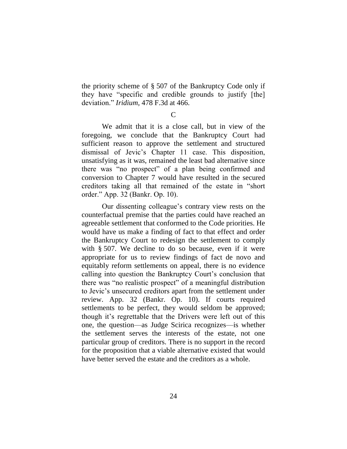the priority scheme of § 507 of the Bankruptcy Code only if they have "specific and credible grounds to justify [the] deviation." *Iridium*, 478 F.3d at 466.

 $\mathcal{C}$ 

We admit that it is a close call, but in view of the foregoing, we conclude that the Bankruptcy Court had sufficient reason to approve the settlement and structured dismissal of Jevic's Chapter 11 case. This disposition, unsatisfying as it was, remained the least bad alternative since there was "no prospect" of a plan being confirmed and conversion to Chapter 7 would have resulted in the secured creditors taking all that remained of the estate in "short order." App. 32 (Bankr. Op. 10).

Our dissenting colleague's contrary view rests on the counterfactual premise that the parties could have reached an agreeable settlement that conformed to the Code priorities. He would have us make a finding of fact to that effect and order the Bankruptcy Court to redesign the settlement to comply with § 507. We decline to do so because, even if it were appropriate for us to review findings of fact de novo and equitably reform settlements on appeal, there is no evidence calling into question the Bankruptcy Court's conclusion that there was "no realistic prospect" of a meaningful distribution to Jevic's unsecured creditors apart from the settlement under review. App. 32 (Bankr. Op. 10). If courts required settlements to be perfect, they would seldom be approved; though it's regrettable that the Drivers were left out of this one, the question—as Judge Scirica recognizes—is whether the settlement serves the interests of the estate, not one particular group of creditors. There is no support in the record for the proposition that a viable alternative existed that would have better served the estate and the creditors as a whole.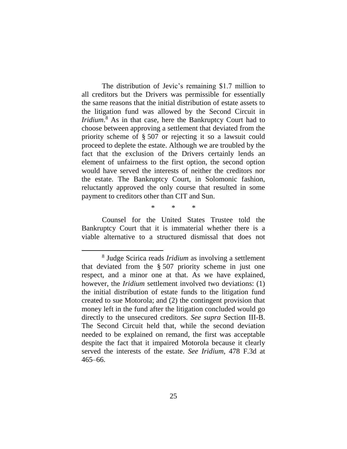The distribution of Jevic's remaining \$1.7 million to all creditors but the Drivers was permissible for essentially the same reasons that the initial distribution of estate assets to the litigation fund was allowed by the Second Circuit in *Iridium*. <sup>8</sup> As in that case, here the Bankruptcy Court had to choose between approving a settlement that deviated from the priority scheme of § 507 or rejecting it so a lawsuit could proceed to deplete the estate. Although we are troubled by the fact that the exclusion of the Drivers certainly lends an element of unfairness to the first option, the second option would have served the interests of neither the creditors nor the estate. The Bankruptcy Court, in Solomonic fashion, reluctantly approved the only course that resulted in some payment to creditors other than CIT and Sun.

\* \* \*

Counsel for the United States Trustee told the Bankruptcy Court that it is immaterial whether there is a viable alternative to a structured dismissal that does not

<sup>8</sup> Judge Scirica reads *Iridium* as involving a settlement that deviated from the § 507 priority scheme in just one respect, and a minor one at that. As we have explained, however, the *Iridium* settlement involved two deviations: (1) the initial distribution of estate funds to the litigation fund created to sue Motorola; and (2) the contingent provision that money left in the fund after the litigation concluded would go directly to the unsecured creditors. *See supra* Section III-B. The Second Circuit held that, while the second deviation needed to be explained on remand, the first was acceptable despite the fact that it impaired Motorola because it clearly served the interests of the estate. *See Iridium*, 478 F.3d at 465–66.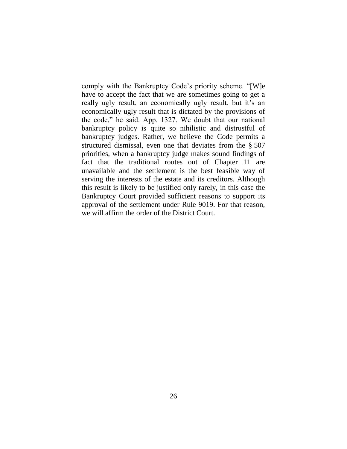comply with the Bankruptcy Code's priority scheme. "[W]e have to accept the fact that we are sometimes going to get a really ugly result, an economically ugly result, but it's an economically ugly result that is dictated by the provisions of the code," he said. App. 1327. We doubt that our national bankruptcy policy is quite so nihilistic and distrustful of bankruptcy judges. Rather, we believe the Code permits a structured dismissal, even one that deviates from the § 507 priorities, when a bankruptcy judge makes sound findings of fact that the traditional routes out of Chapter 11 are unavailable and the settlement is the best feasible way of serving the interests of the estate and its creditors. Although this result is likely to be justified only rarely, in this case the Bankruptcy Court provided sufficient reasons to support its approval of the settlement under Rule 9019. For that reason, we will affirm the order of the District Court.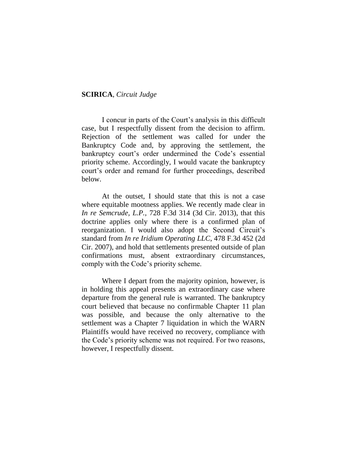### **SCIRICA**, *Circuit Judge*

I concur in parts of the Court's analysis in this difficult case, but I respectfully dissent from the decision to affirm. Rejection of the settlement was called for under the Bankruptcy Code and, by approving the settlement, the bankruptcy court's order undermined the Code's essential priority scheme. Accordingly, I would vacate the bankruptcy court's order and remand for further proceedings, described below.

At the outset, I should state that this is not a case where equitable mootness applies. We recently made clear in *In re Semcrude, L.P.*, 728 F.3d 314 (3d Cir. 2013), that this doctrine applies only where there is a confirmed plan of reorganization. I would also adopt the Second Circuit's standard from *In re Iridium Operating LLC*, 478 F.3d 452 (2d Cir. 2007), and hold that settlements presented outside of plan confirmations must, absent extraordinary circumstances, comply with the Code's priority scheme.

Where I depart from the majority opinion, however, is in holding this appeal presents an extraordinary case where departure from the general rule is warranted. The bankruptcy court believed that because no confirmable Chapter 11 plan was possible, and because the only alternative to the settlement was a Chapter 7 liquidation in which the WARN Plaintiffs would have received no recovery, compliance with the Code's priority scheme was not required. For two reasons, however, I respectfully dissent.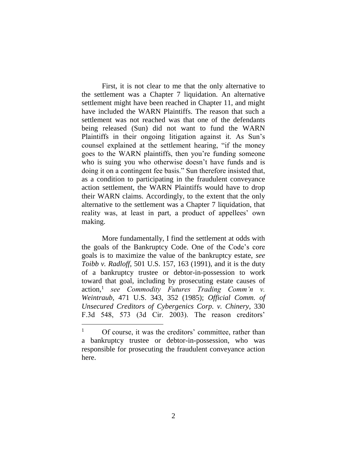First, it is not clear to me that the only alternative to the settlement was a Chapter 7 liquidation. An alternative settlement might have been reached in Chapter 11, and might have included the WARN Plaintiffs. The reason that such a settlement was not reached was that one of the defendants being released (Sun) did not want to fund the WARN Plaintiffs in their ongoing litigation against it. As Sun's counsel explained at the settlement hearing, "if the money goes to the WARN plaintiffs, then you're funding someone who is suing you who otherwise doesn't have funds and is doing it on a contingent fee basis." Sun therefore insisted that, as a condition to participating in the fraudulent conveyance action settlement, the WARN Plaintiffs would have to drop their WARN claims. Accordingly, to the extent that the only alternative to the settlement was a Chapter 7 liquidation, that reality was, at least in part, a product of appellees' own making.

More fundamentally, I find the settlement at odds with the goals of the Bankruptcy Code. One of the Code's core goals is to maximize the value of the bankruptcy estate, *see Toibb v. Radloff*, 501 U.S. 157, 163 (1991), and it is the duty of a bankruptcy trustee or debtor-in-possession to work toward that goal, including by prosecuting estate causes of action,<sup>1</sup> *see Commodity Futures Trading Comm'n v. Weintraub*, 471 U.S. 343, 352 (1985); *Official Comm. of Unsecured Creditors of Cybergenics Corp. v. Chinery*, 330 F.3d 548, 573 (3d Cir. 2003). The reason creditors'

<sup>&</sup>lt;sup>1</sup> Of course, it was the creditors' committee, rather than a bankruptcy trustee or debtor-in-possession, who was responsible for prosecuting the fraudulent conveyance action here.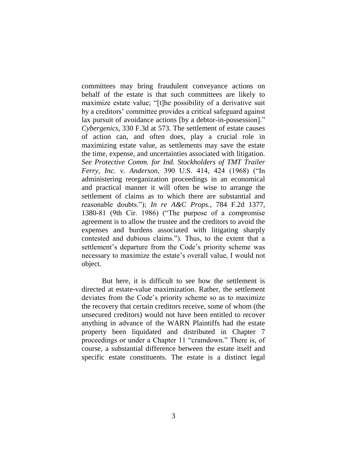committees may bring fraudulent conveyance actions on behalf of the estate is that such committees are likely to maximize estate value; "[t]he possibility of a derivative suit by a creditors' committee provides a critical safeguard against lax pursuit of avoidance actions [by a debtor-in-possession]." *Cybergenics*, 330 F.3d at 573. The settlement of estate causes of action can, and often does, play a crucial role in maximizing estate value, as settlements may save the estate the time, expense, and uncertainties associated with litigation. *See Protective Comm. for Ind. Stockholders of TMT Trailer Ferry, Inc. v. Anderson*, 390 U.S. 414, 424 (1968) ("In administering reorganization proceedings in an economical and practical manner it will often be wise to arrange the settlement of claims as to which there are substantial and reasonable doubts."); *In re A&C Props.*, 784 F.2d 1377, 1380-81 (9th Cir. 1986) ("The purpose of a compromise agreement is to allow the trustee and the creditors to avoid the expenses and burdens associated with litigating sharply contested and dubious claims."). Thus, to the extent that a settlement's departure from the Code's priority scheme was necessary to maximize the estate's overall value, I would not object.

But here, it is difficult to see how the settlement is directed at estate-value maximization. Rather, the settlement deviates from the Code's priority scheme so as to maximize the recovery that certain creditors receive, some of whom (the unsecured creditors) would not have been entitled to recover anything in advance of the WARN Plaintiffs had the estate property been liquidated and distributed in Chapter 7 proceedings or under a Chapter 11 "cramdown." There is, of course, a substantial difference between the estate itself and specific estate constituents. The estate is a distinct legal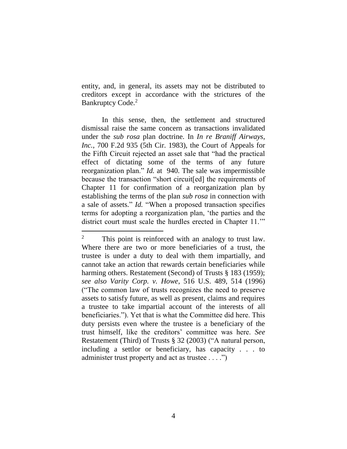entity, and, in general, its assets may not be distributed to creditors except in accordance with the strictures of the Bankruptcy Code.<sup>2</sup>

In this sense, then, the settlement and structured dismissal raise the same concern as transactions invalidated under the *sub rosa* plan doctrine. In *In re Braniff Airways, Inc.*, 700 F.2d 935 (5th Cir. 1983), the Court of Appeals for the Fifth Circuit rejected an asset sale that "had the practical effect of dictating some of the terms of any future reorganization plan." *Id.* at 940. The sale was impermissible because the transaction "short circuit[ed] the requirements of Chapter 11 for confirmation of a reorganization plan by establishing the terms of the plan *sub rosa* in connection with a sale of assets." *Id.* "When a proposed transaction specifies terms for adopting a reorganization plan, 'the parties and the district court must scale the hurdles erected in Chapter 11.'"

<sup>&</sup>lt;sup>2</sup> This point is reinforced with an analogy to trust law. Where there are two or more beneficiaries of a trust, the trustee is under a duty to deal with them impartially, and cannot take an action that rewards certain beneficiaries while harming others. Restatement (Second) of Trusts § 183 (1959); *see also Varity Corp. v. Howe*, 516 U.S. 489, 514 (1996) ("The common law of trusts recognizes the need to preserve assets to satisfy future, as well as present, claims and requires a trustee to take impartial account of the interests of all beneficiaries."). Yet that is what the Committee did here. This duty persists even where the trustee is a beneficiary of the trust himself, like the creditors' committee was here. *See*  Restatement (Third) of Trusts § 32 (2003) ("A natural person, including a settlor or beneficiary, has capacity . . . to administer trust property and act as trustee . . . .")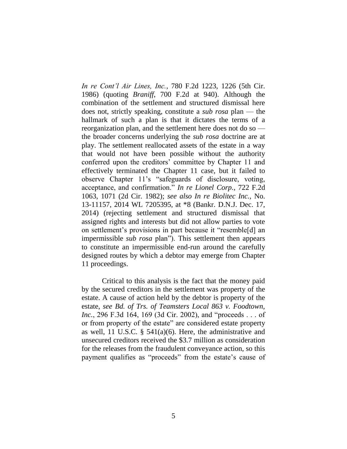*In re Cont'l Air Lines, Inc.*, 780 F.2d 1223, 1226 (5th Cir. 1986) (quoting *Braniff*, 700 F.2d at 940). Although the combination of the settlement and structured dismissal here does not, strictly speaking, constitute a *sub rosa* plan — the hallmark of such a plan is that it dictates the terms of a reorganization plan, and the settlement here does not do so the broader concerns underlying the *sub rosa* doctrine are at play. The settlement reallocated assets of the estate in a way that would not have been possible without the authority conferred upon the creditors' committee by Chapter 11 and effectively terminated the Chapter 11 case, but it failed to observe Chapter 11's "safeguards of disclosure, voting, acceptance, and confirmation." *In re Lionel Corp.*, 722 F.2d 1063, 1071 (2d Cir. 1982); *see also In re Biolitec Inc.*, No. 13-11157, 2014 WL 7205395, at \*8 (Bankr. D.N.J. Dec. 17, 2014) (rejecting settlement and structured dismissal that assigned rights and interests but did not allow parties to vote on settlement's provisions in part because it "resemble[d] an impermissible *sub rosa* plan"). This settlement then appears to constitute an impermissible end-run around the carefully designed routes by which a debtor may emerge from Chapter 11 proceedings.

Critical to this analysis is the fact that the money paid by the secured creditors in the settlement was property of the estate. A cause of action held by the debtor is property of the estate, *see Bd. of Trs. of Teamsters Local 863 v. Foodtown, Inc.*, 296 F.3d 164, 169 (3d Cir. 2002), and "proceeds . . . of or from property of the estate" are considered estate property as well, 11 U.S.C.  $\S$  541(a)(6). Here, the administrative and unsecured creditors received the \$3.7 million as consideration for the releases from the fraudulent conveyance action, so this payment qualifies as "proceeds" from the estate's cause of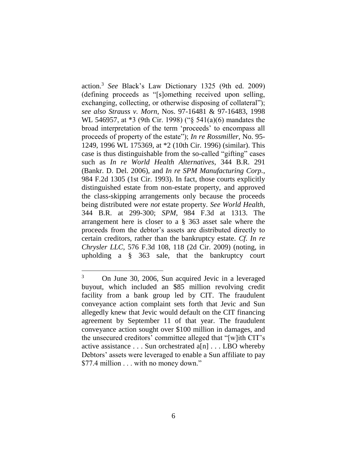action.<sup>3</sup> *See* Black's Law Dictionary 1325 (9th ed. 2009) (defining proceeds as "[s]omething received upon selling, exchanging, collecting, or otherwise disposing of collateral"); *see also Strauss v. Morn*, Nos. 97-16481 & 97-16483, 1998 WL 546957, at \*3 (9th Cir. 1998) ("§ 541(a)(6) mandates the broad interpretation of the term 'proceeds' to encompass all proceeds of property of the estate"); *In re Rossmiller*, No. 95- 1249, 1996 WL 175369, at \*2 (10th Cir. 1996) (similar). This case is thus distinguishable from the so-called "gifting" cases such as *In re World Health Alternatives*, 344 B.R. 291 (Bankr. D. Del. 2006), and *In re SPM Manufacturing Corp.*, 984 F.2d 1305 (1st Cir. 1993). In fact, those courts explicitly distinguished estate from non-estate property, and approved the class-skipping arrangements only because the proceeds being distributed were *not* estate property. *See World Health*, 344 B.R. at 299-300; *SPM*, 984 F.3d at 1313. The arrangement here is closer to a § 363 asset sale where the proceeds from the debtor's assets are distributed directly to certain creditors, rather than the bankruptcy estate. *Cf. In re Chrysler LLC*, 576 F.3d 108, 118 (2d Cir. 2009) (noting, in upholding a § 363 sale, that the bankruptcy court

<sup>3</sup> On June 30, 2006, Sun acquired Jevic in a leveraged buyout, which included an \$85 million revolving credit facility from a bank group led by CIT. The fraudulent conveyance action complaint sets forth that Jevic and Sun allegedly knew that Jevic would default on the CIT financing agreement by September 11 of that year. The fraudulent conveyance action sought over \$100 million in damages, and the unsecured creditors' committee alleged that "[w]ith CIT's active assistance . . . Sun orchestrated a[n] . . . LBO whereby Debtors' assets were leveraged to enable a Sun affiliate to pay \$77.4 million . . . with no money down."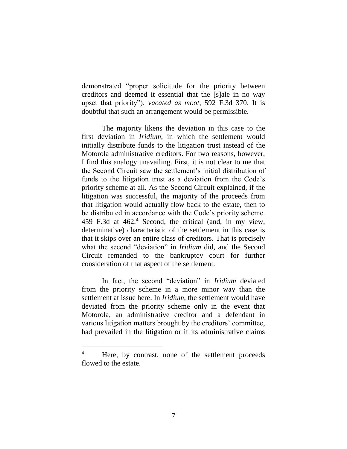demonstrated "proper solicitude for the priority between creditors and deemed it essential that the [s]ale in no way upset that priority"), *vacated as moot*, 592 F.3d 370. It is doubtful that such an arrangement would be permissible.

The majority likens the deviation in this case to the first deviation in *Iridium*, in which the settlement would initially distribute funds to the litigation trust instead of the Motorola administrative creditors. For two reasons, however, I find this analogy unavailing. First, it is not clear to me that the Second Circuit saw the settlement's initial distribution of funds to the litigation trust as a deviation from the Code's priority scheme at all. As the Second Circuit explained, if the litigation was successful, the majority of the proceeds from that litigation would actually flow back to the estate, then to be distributed in accordance with the Code's priority scheme. 459 F.3d at 462.<sup>4</sup> Second, the critical (and, in my view, determinative) characteristic of the settlement in this case is that it skips over an entire class of creditors. That is precisely what the second "deviation" in *Iridium* did, and the Second Circuit remanded to the bankruptcy court for further consideration of that aspect of the settlement.

In fact, the second "deviation" in *Iridium* deviated from the priority scheme in a more minor way than the settlement at issue here. In *Iridium*, the settlement would have deviated from the priority scheme only in the event that Motorola, an administrative creditor and a defendant in various litigation matters brought by the creditors' committee, had prevailed in the litigation or if its administrative claims

<sup>&</sup>lt;sup>4</sup> Here, by contrast, none of the settlement proceeds flowed to the estate.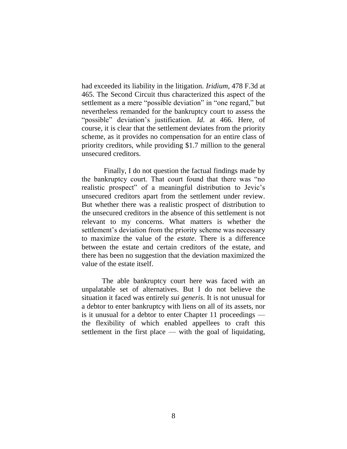had exceeded its liability in the litigation. *Iridium*, 478 F.3d at 465. The Second Circuit thus characterized this aspect of the settlement as a mere "possible deviation" in "one regard," but nevertheless remanded for the bankruptcy court to assess the "possible" deviation's justification. *Id.* at 466. Here, of course, it is clear that the settlement deviates from the priority scheme, as it provides no compensation for an entire class of priority creditors, while providing \$1.7 million to the general unsecured creditors.

Finally, I do not question the factual findings made by the bankruptcy court. That court found that there was "no realistic prospect" of a meaningful distribution to Jevic's unsecured creditors apart from the settlement under review. But whether there was a realistic prospect of distribution to the unsecured creditors in the absence of this settlement is not relevant to my concerns. What matters is whether the settlement's deviation from the priority scheme was necessary to maximize the value of the *estate*. There is a difference between the estate and certain creditors of the estate, and there has been no suggestion that the deviation maximized the value of the estate itself.

The able bankruptcy court here was faced with an unpalatable set of alternatives. But I do not believe the situation it faced was entirely *sui generis*. It is not unusual for a debtor to enter bankruptcy with liens on all of its assets, nor is it unusual for a debtor to enter Chapter 11 proceedings the flexibility of which enabled appellees to craft this settlement in the first place — with the goal of liquidating,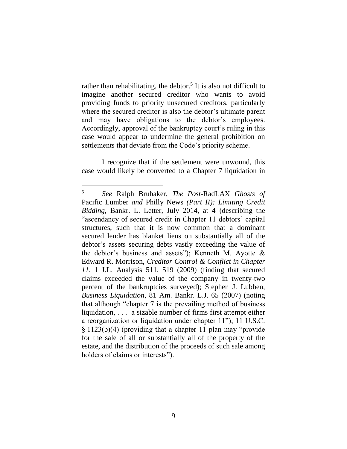rather than rehabilitating, the debtor.<sup>5</sup> It is also not difficult to imagine another secured creditor who wants to avoid providing funds to priority unsecured creditors, particularly where the secured creditor is also the debtor's ultimate parent and may have obligations to the debtor's employees. Accordingly, approval of the bankruptcy court's ruling in this case would appear to undermine the general prohibition on settlements that deviate from the Code's priority scheme.

I recognize that if the settlement were unwound, this case would likely be converted to a Chapter 7 liquidation in

<sup>5</sup> *See* Ralph Brubaker, *The Post-*RadLAX *Ghosts of*  Pacific Lumber *and* Philly News *(Part II): Limiting Credit Bidding*, Bankr. L. Letter, July 2014, at 4 (describing the "ascendancy of secured credit in Chapter 11 debtors' capital structures, such that it is now common that a dominant secured lender has blanket liens on substantially all of the debtor's assets securing debts vastly exceeding the value of the debtor's business and assets"); Kenneth M. Ayotte  $\&$ Edward R. Morrison, *Creditor Control & Conflict in Chapter 11*, 1 J.L. Analysis 511, 519 (2009) (finding that secured claims exceeded the value of the company in twenty-two percent of the bankruptcies surveyed); Stephen J. Lubben, *Business Liquidation*, 81 Am. Bankr. L.J. 65 (2007) (noting that although "chapter 7 is the prevailing method of business liquidation, . . . a sizable number of firms first attempt either a reorganization or liquidation under chapter 11"); 11 U.S.C. § 1123(b)(4) (providing that a chapter 11 plan may "provide for the sale of all or substantially all of the property of the estate, and the distribution of the proceeds of such sale among holders of claims or interests").